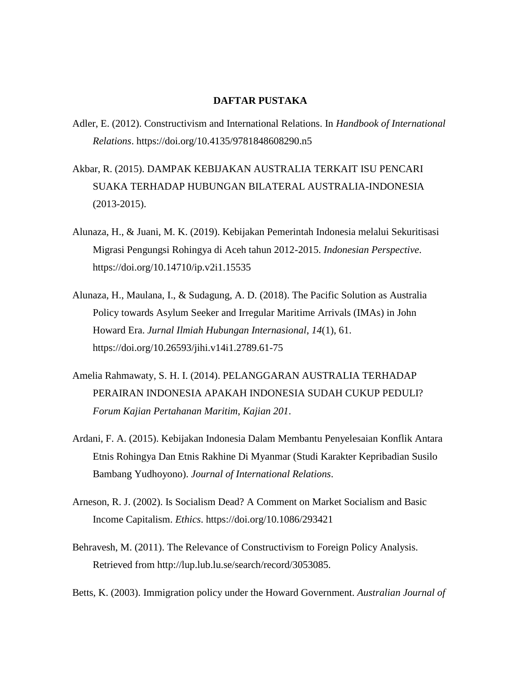## **DAFTAR PUSTAKA**

- Adler, E. (2012). Constructivism and International Relations. In *Handbook of International Relations*. https://doi.org/10.4135/9781848608290.n5
- Akbar, R. (2015). DAMPAK KEBIJAKAN AUSTRALIA TERKAIT ISU PENCARI SUAKA TERHADAP HUBUNGAN BILATERAL AUSTRALIA-INDONESIA (2013-2015).
- Alunaza, H., & Juani, M. K. (2019). Kebijakan Pemerintah Indonesia melalui Sekuritisasi Migrasi Pengungsi Rohingya di Aceh tahun 2012-2015. *Indonesian Perspective*. https://doi.org/10.14710/ip.v2i1.15535
- Alunaza, H., Maulana, I., & Sudagung, A. D. (2018). The Pacific Solution as Australia Policy towards Asylum Seeker and Irregular Maritime Arrivals (IMAs) in John Howard Era. *Jurnal Ilmiah Hubungan Internasional*, *14*(1), 61. https://doi.org/10.26593/jihi.v14i1.2789.61-75
- Amelia Rahmawaty, S. H. I. (2014). PELANGGARAN AUSTRALIA TERHADAP PERAIRAN INDONESIA APAKAH INDONESIA SUDAH CUKUP PEDULI? *Forum Kajian Pertahanan Maritim*, *Kajian 201*.
- Ardani, F. A. (2015). Kebijakan Indonesia Dalam Membantu Penyelesaian Konflik Antara Etnis Rohingya Dan Etnis Rakhine Di Myanmar (Studi Karakter Kepribadian Susilo Bambang Yudhoyono). *Journal of International Relations*.
- Arneson, R. J. (2002). Is Socialism Dead? A Comment on Market Socialism and Basic Income Capitalism. *Ethics*. https://doi.org/10.1086/293421
- Behravesh, M. (2011). The Relevance of Constructivism to Foreign Policy Analysis. Retrieved from http://lup.lub.lu.se/search/record/3053085.
- Betts, K. (2003). Immigration policy under the Howard Government. *Australian Journal of*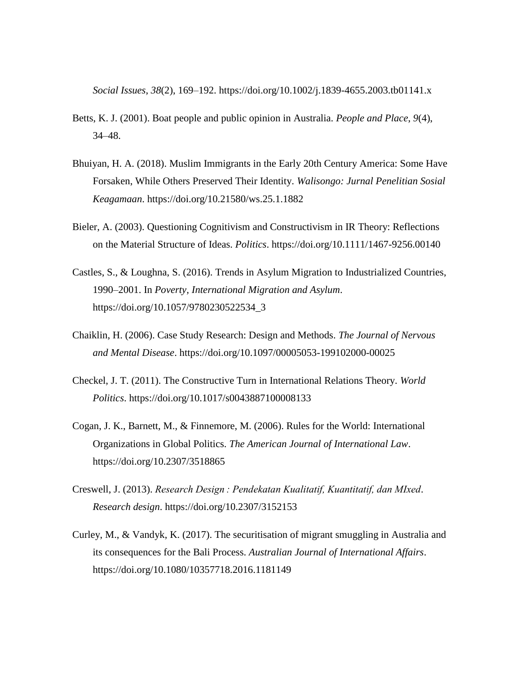*Social Issues*, *38*(2), 169–192. https://doi.org/10.1002/j.1839-4655.2003.tb01141.x

- Betts, K. J. (2001). Boat people and public opinion in Australia. *People and Place*, *9*(4), 34–48.
- Bhuiyan, H. A. (2018). Muslim Immigrants in the Early 20th Century America: Some Have Forsaken, While Others Preserved Their Identity. *Walisongo: Jurnal Penelitian Sosial Keagamaan*. https://doi.org/10.21580/ws.25.1.1882
- Bieler, A. (2003). Questioning Cognitivism and Constructivism in IR Theory: Reflections on the Material Structure of Ideas. *Politics*. https://doi.org/10.1111/1467-9256.00140
- Castles, S., & Loughna, S. (2016). Trends in Asylum Migration to Industrialized Countries, 1990–2001. In *Poverty, International Migration and Asylum*. https://doi.org/10.1057/9780230522534\_3
- Chaiklin, H. (2006). Case Study Research: Design and Methods. *The Journal of Nervous and Mental Disease*. https://doi.org/10.1097/00005053-199102000-00025
- Checkel, J. T. (2011). The Constructive Turn in International Relations Theory. *World Politics*. https://doi.org/10.1017/s0043887100008133
- Cogan, J. K., Barnett, M., & Finnemore, M. (2006). Rules for the World: International Organizations in Global Politics. *The American Journal of International Law*. https://doi.org/10.2307/3518865
- Creswell, J. (2013). *Research Design : Pendekatan Kualitatif, Kuantitatif, dan MIxed*. *Research design*. https://doi.org/10.2307/3152153
- Curley, M., & Vandyk, K. (2017). The securitisation of migrant smuggling in Australia and its consequences for the Bali Process. *Australian Journal of International Affairs*. https://doi.org/10.1080/10357718.2016.1181149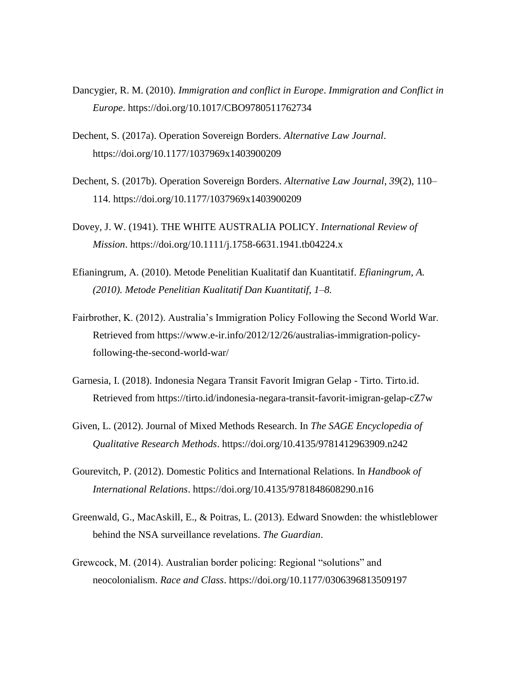- Dancygier, R. M. (2010). *Immigration and conflict in Europe*. *Immigration and Conflict in Europe*. https://doi.org/10.1017/CBO9780511762734
- Dechent, S. (2017a). Operation Sovereign Borders. *Alternative Law Journal*. https://doi.org/10.1177/1037969x1403900209
- Dechent, S. (2017b). Operation Sovereign Borders. *Alternative Law Journal*, *39*(2), 110– 114. https://doi.org/10.1177/1037969x1403900209
- Dovey, J. W. (1941). THE WHITE AUSTRALIA POLICY. *International Review of Mission*. https://doi.org/10.1111/j.1758-6631.1941.tb04224.x
- Efianingrum, A. (2010). Metode Penelitian Kualitatif dan Kuantitatif. *Efianingrum, A. (2010). Metode Penelitian Kualitatif Dan Kuantitatif, 1–8.*
- Fairbrother, K. (2012). Australia's Immigration Policy Following the Second World War. Retrieved from https://www.e-ir.info/2012/12/26/australias-immigration-policyfollowing-the-second-world-war/
- Garnesia, I. (2018). Indonesia Negara Transit Favorit Imigran Gelap Tirto. Tirto.id. Retrieved from https://tirto.id/indonesia-negara-transit-favorit-imigran-gelap-cZ7w
- Given, L. (2012). Journal of Mixed Methods Research. In *The SAGE Encyclopedia of Qualitative Research Methods*. https://doi.org/10.4135/9781412963909.n242
- Gourevitch, P. (2012). Domestic Politics and International Relations. In *Handbook of International Relations*. https://doi.org/10.4135/9781848608290.n16
- Greenwald, G., MacAskill, E., & Poitras, L. (2013). Edward Snowden: the whistleblower behind the NSA surveillance revelations. *The Guardian*.
- Grewcock, M. (2014). Australian border policing: Regional "solutions" and neocolonialism. *Race and Class*. https://doi.org/10.1177/0306396813509197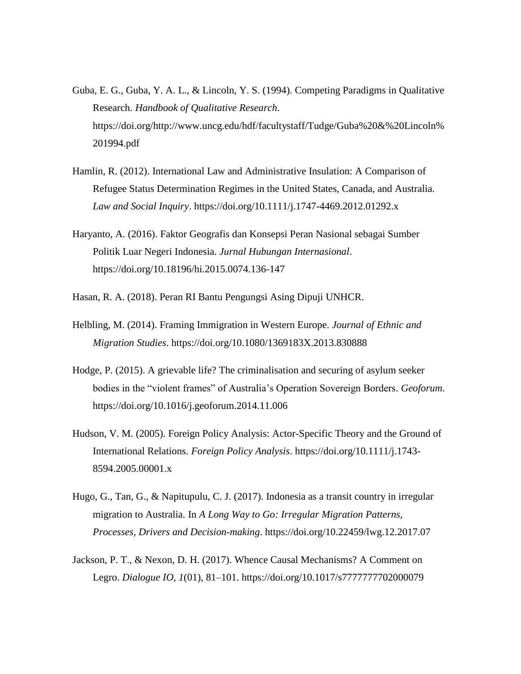- Guba, E. G., Guba, Y. A. L., & Lincoln, Y. S. (1994). Competing Paradigms in Qualitative Research. *Handbook of Qualitative Research*. https://doi.org/http://www.uncg.edu/hdf/facultystaff/Tudge/Guba%20&%20Lincoln% 201994.pdf
- Hamlin, R. (2012). International Law and Administrative Insulation: A Comparison of Refugee Status Determination Regimes in the United States, Canada, and Australia. *Law and Social Inquiry*. https://doi.org/10.1111/j.1747-4469.2012.01292.x
- Haryanto, A. (2016). Faktor Geografis dan Konsepsi Peran Nasional sebagai Sumber Politik Luar Negeri Indonesia. *Jurnal Hubungan Internasional*. https://doi.org/10.18196/hi.2015.0074.136-147
- Hasan, R. A. (2018). Peran RI Bantu Pengungsi Asing Dipuji UNHCR.
- Helbling, M. (2014). Framing Immigration in Western Europe. *Journal of Ethnic and Migration Studies*. https://doi.org/10.1080/1369183X.2013.830888
- Hodge, P. (2015). A grievable life? The criminalisation and securing of asylum seeker bodies in the "violent frames" of Australia's Operation Sovereign Borders. *Geoforum*. https://doi.org/10.1016/j.geoforum.2014.11.006
- Hudson, V. M. (2005). Foreign Policy Analysis: Actor-Specific Theory and the Ground of International Relations. *Foreign Policy Analysis*. https://doi.org/10.1111/j.1743- 8594.2005.00001.x
- Hugo, G., Tan, G., & Napitupulu, C. J. (2017). Indonesia as a transit country in irregular migration to Australia. In *A Long Way to Go: Irregular Migration Patterns, Processes, Drivers and Decision-making*. https://doi.org/10.22459/lwg.12.2017.07
- Jackson, P. T., & Nexon, D. H. (2017). Whence Causal Mechanisms? A Comment on Legro. *Dialogue IO*, *1*(01), 81–101. https://doi.org/10.1017/s7777777702000079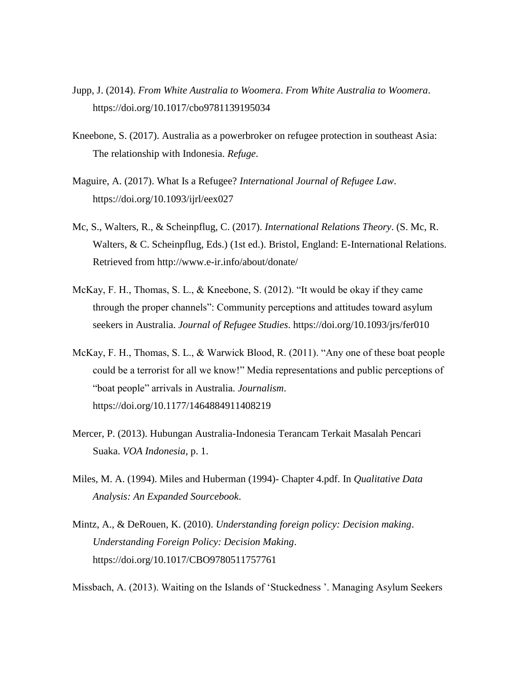- Jupp, J. (2014). *From White Australia to Woomera*. *From White Australia to Woomera*. https://doi.org/10.1017/cbo9781139195034
- Kneebone, S. (2017). Australia as a powerbroker on refugee protection in southeast Asia: The relationship with Indonesia. *Refuge*.
- Maguire, A. (2017). What Is a Refugee? *International Journal of Refugee Law*. https://doi.org/10.1093/ijrl/eex027
- Mc, S., Walters, R., & Scheinpflug, C. (2017). *International Relations Theory*. (S. Mc, R. Walters, & C. Scheinpflug, Eds.) (1st ed.). Bristol, England: E-International Relations. Retrieved from http://www.e-ir.info/about/donate/
- McKay, F. H., Thomas, S. L., & Kneebone, S. (2012). "It would be okay if they came through the proper channels": Community perceptions and attitudes toward asylum seekers in Australia. *Journal of Refugee Studies*. https://doi.org/10.1093/jrs/fer010
- McKay, F. H., Thomas, S. L., & Warwick Blood, R. (2011). "Any one of these boat people could be a terrorist for all we know!" Media representations and public perceptions of "boat people" arrivals in Australia. *Journalism*. https://doi.org/10.1177/1464884911408219
- Mercer, P. (2013). Hubungan Australia-Indonesia Terancam Terkait Masalah Pencari Suaka. *VOA Indonesia*, p. 1.
- Miles, M. A. (1994). Miles and Huberman (1994)- Chapter 4.pdf. In *Qualitative Data Analysis: An Expanded Sourcebook*.
- Mintz, A., & DeRouen, K. (2010). *Understanding foreign policy: Decision making*. *Understanding Foreign Policy: Decision Making*. https://doi.org/10.1017/CBO9780511757761

Missbach, A. (2013). Waiting on the Islands of 'Stuckedness '. Managing Asylum Seekers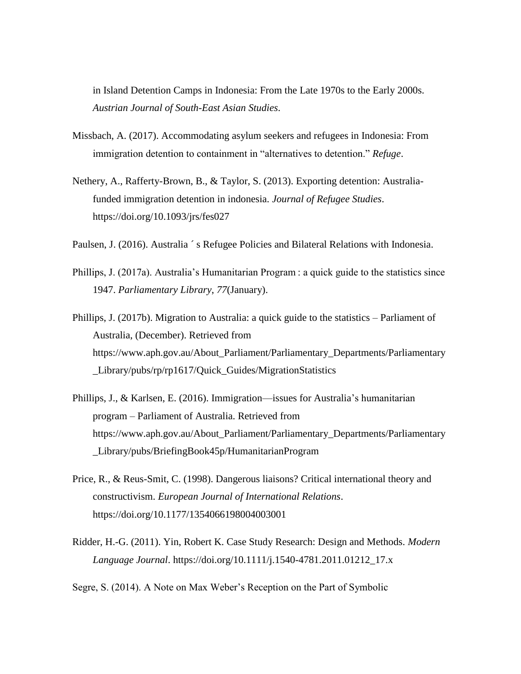in Island Detention Camps in Indonesia: From the Late 1970s to the Early 2000s. *Austrian Journal of South-East Asian Studies*.

- Missbach, A. (2017). Accommodating asylum seekers and refugees in Indonesia: From immigration detention to containment in "alternatives to detention." *Refuge*.
- Nethery, A., Rafferty-Brown, B., & Taylor, S. (2013). Exporting detention: Australiafunded immigration detention in indonesia. *Journal of Refugee Studies*. https://doi.org/10.1093/jrs/fes027
- Paulsen, J. (2016). Australia  $\hat{\ }$ s Refugee Policies and Bilateral Relations with Indonesia.
- Phillips, J. (2017a). Australia's Humanitarian Program : a quick guide to the statistics since 1947. *Parliamentary Library*, *77*(January).
- Phillips, J. (2017b). Migration to Australia: a quick guide to the statistics Parliament of Australia, (December). Retrieved from https://www.aph.gov.au/About\_Parliament/Parliamentary\_Departments/Parliamentary \_Library/pubs/rp/rp1617/Quick\_Guides/MigrationStatistics
- Phillips, J., & Karlsen, E. (2016). Immigration—issues for Australia's humanitarian program – Parliament of Australia. Retrieved from https://www.aph.gov.au/About\_Parliament/Parliamentary\_Departments/Parliamentary \_Library/pubs/BriefingBook45p/HumanitarianProgram
- Price, R., & Reus-Smit, C. (1998). Dangerous liaisons? Critical international theory and constructivism. *European Journal of International Relations*. https://doi.org/10.1177/1354066198004003001
- Ridder, H.-G. (2011). Yin, Robert K. Case Study Research: Design and Methods. *Modern Language Journal*. https://doi.org/10.1111/j.1540-4781.2011.01212\_17.x

Segre, S. (2014). A Note on Max Weber's Reception on the Part of Symbolic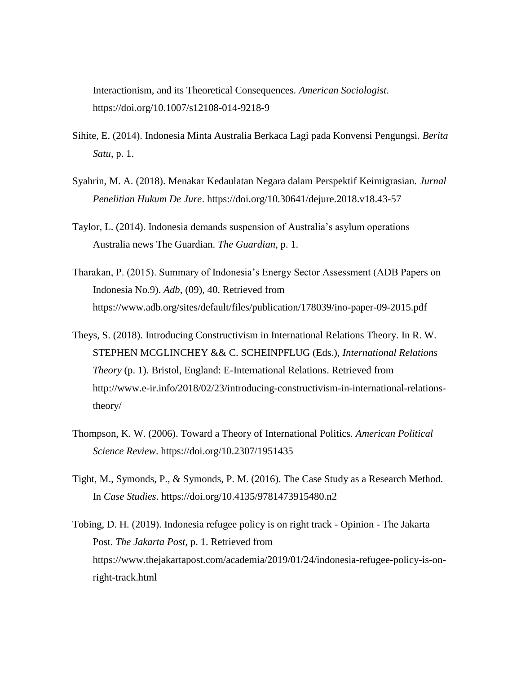Interactionism, and its Theoretical Consequences. *American Sociologist*. https://doi.org/10.1007/s12108-014-9218-9

- Sihite, E. (2014). Indonesia Minta Australia Berkaca Lagi pada Konvensi Pengungsi. *Berita Satu*, p. 1.
- Syahrin, M. A. (2018). Menakar Kedaulatan Negara dalam Perspektif Keimigrasian. *Jurnal Penelitian Hukum De Jure*. https://doi.org/10.30641/dejure.2018.v18.43-57
- Taylor, L. (2014). Indonesia demands suspension of Australia's asylum operations Australia news The Guardian. *The Guardian*, p. 1.
- Tharakan, P. (2015). Summary of Indonesia's Energy Sector Assessment (ADB Papers on Indonesia No.9). *Adb*, (09), 40. Retrieved from https://www.adb.org/sites/default/files/publication/178039/ino-paper-09-2015.pdf
- Theys, S. (2018). Introducing Constructivism in International Relations Theory. In R. W. STEPHEN MCGLINCHEY && C. SCHEINPFLUG (Eds.), *International Relations Theory* (p. 1). Bristol, England: E-International Relations. Retrieved from http://www.e-ir.info/2018/02/23/introducing-constructivism-in-international-relationstheory/
- Thompson, K. W. (2006). Toward a Theory of International Politics. *American Political Science Review*. https://doi.org/10.2307/1951435
- Tight, M., Symonds, P., & Symonds, P. M. (2016). The Case Study as a Research Method. In *Case Studies*. https://doi.org/10.4135/9781473915480.n2
- Tobing, D. H. (2019). Indonesia refugee policy is on right track Opinion The Jakarta Post. *The Jakarta Post*, p. 1. Retrieved from https://www.thejakartapost.com/academia/2019/01/24/indonesia-refugee-policy-is-onright-track.html